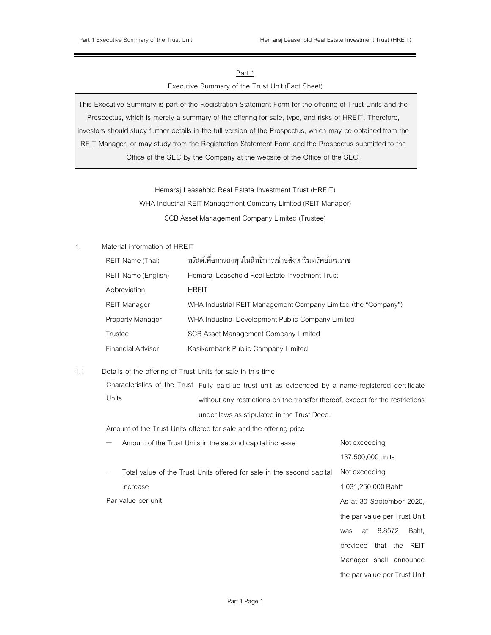## Part 1

Executive Summary of the Trust Unit (Fact Sheet)

This Executive Summary is part of the Registration Statement Form for the offering of Trust Units and the Prospectus, which is merely a summary of the offering for sale, type, and risks of HREIT. Therefore, investors should study further details in the full version of the Prospectus, which may be obtained from the REIT Manager, or may study from the Registration Statement Form and the Prospectus submitted to the Office of the SEC by the Company at the website of the Office of the SEC.

> Hemaraj Leasehold Real Estate Investment Trust (HREIT) WHA Industrial REIT Management Company Limited (REIT Manager) SCB Asset Management Company Limited (Trustee)

# 1. Material information of HREIT

| REIT Name (Thai)         | ทรัสต์เพื่อการลงทุนในสิทธิการเช่าอสังหาริมทรัพย์เหมราช         |
|--------------------------|----------------------------------------------------------------|
| REIT Name (English)      | Hemaraj Leasehold Real Estate Investment Trust                 |
| Abbreviation             | <b>HREIT</b>                                                   |
| <b>REIT Manager</b>      | WHA Industrial REIT Management Company Limited (the "Company") |
| <b>Property Manager</b>  | WHA Industrial Development Public Company Limited              |
| Trustee                  | SCB Asset Management Company Limited                           |
| <b>Financial Advisor</b> | Kasikornbank Public Company Limited                            |

# 1.1 Details of the offering of Trust Units for sale in this time

Characteristics of the Trust Fully paid-up trust unit as evidenced by a name-registered certificate Units without any restrictions on the transfer thereof, except for the restrictions under laws as stipulated in the Trust Deed.

Amount of the Trust Units offered for sale and the offering price

|                    | Amount of the Trust Units in the second capital increase              | Not exceeding            |    |                     |  |                              |
|--------------------|-----------------------------------------------------------------------|--------------------------|----|---------------------|--|------------------------------|
|                    |                                                                       |                          |    | 137,500,000 units   |  |                              |
|                    | Total value of the Trust Units offered for sale in the second capital | Not exceeding            |    |                     |  |                              |
|                    | increase                                                              |                          |    | 1,031,250,000 Baht* |  |                              |
| Par value per unit |                                                                       | As at 30 September 2020, |    |                     |  |                              |
|                    |                                                                       |                          |    |                     |  | the par value per Trust Unit |
|                    |                                                                       | was                      | at | 8.8572              |  | Baht,                        |
|                    |                                                                       |                          |    | provided that the   |  | REIT                         |
|                    |                                                                       |                          |    |                     |  | Manager shall announce       |
|                    |                                                                       |                          |    |                     |  | the par value per Trust Unit |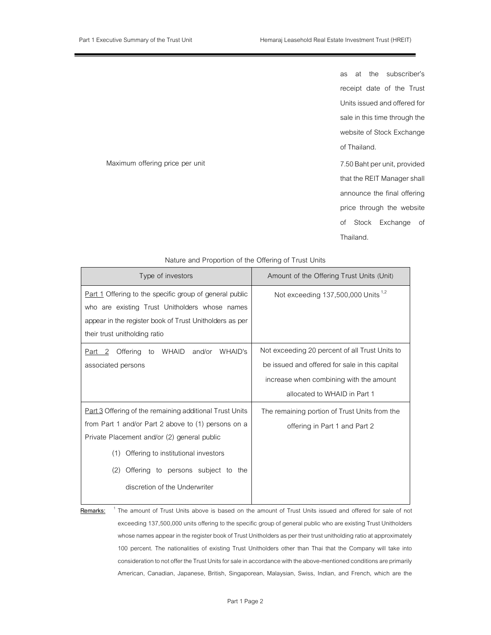as at the subscriber's receipt date of the Trust Units issued and offered for sale in this time through the website of Stock Exchange of Thailand.

Maximum offering price per unit 7.50 Baht per unit, provided that the REIT Manager shall announce the final offering price through the website of Stock Exchange of Thailand.

| Type of investors                                                                                                                                                                                                                                                                         | Amount of the Offering Trust Units (Unit)                                                                                                                                   |
|-------------------------------------------------------------------------------------------------------------------------------------------------------------------------------------------------------------------------------------------------------------------------------------------|-----------------------------------------------------------------------------------------------------------------------------------------------------------------------------|
| Part 1 Offering to the specific group of general public<br>who are existing Trust Unitholders whose names<br>appear in the register book of Trust Unitholders as per<br>their trust unitholding ratio                                                                                     | Not exceeding 137,500,000 Units <sup>1,2</sup>                                                                                                                              |
| WHAID and/or<br><b>WHAID's</b><br>Part 2<br>Offering<br>to<br>associated persons                                                                                                                                                                                                          | Not exceeding 20 percent of all Trust Units to<br>be issued and offered for sale in this capital<br>increase when combining with the amount<br>allocated to WHAID in Part 1 |
| Part 3 Offering of the remaining additional Trust Units<br>from Part 1 and/or Part 2 above to (1) persons on a<br>Private Placement and/or (2) general public<br>Offering to institutional investors<br>(1)<br>Offering to persons subject to the<br>(2)<br>discretion of the Underwriter | The remaining portion of Trust Units from the<br>offering in Part 1 and Part 2                                                                                              |

#### Nature and Proportion of the Offering of Trust Units

**Remarks:** 1 The amount of Trust Units above is based on the amount of Trust Units issued and offered for sale of not exceeding 137,500,000 units offering to the specific group of general public who are existing Trust Unitholders whose names appear in the register book of Trust Unitholders as per their trust unitholding ratio at approximately 100 percent. The nationalities of existing Trust Unitholders other than Thai that the Company will take into consideration to not offer the Trust Units for sale in accordance with the above-mentioned conditions are primarily American, Canadian, Japanese, British, Singaporean, Malaysian, Swiss, Indian, and French, which are the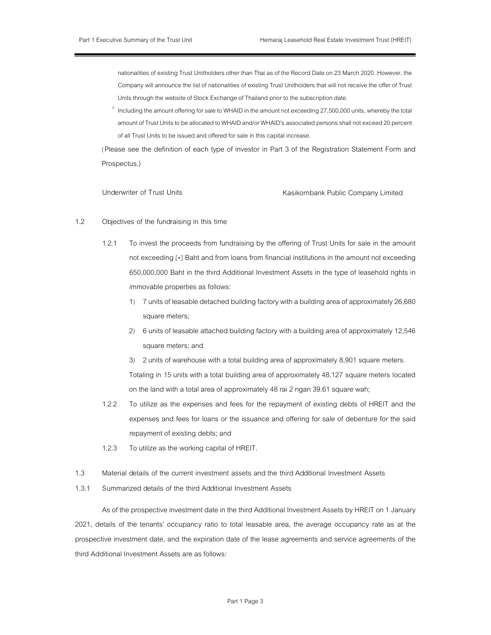nationalities of existing Trust Unitholders other than Thai as of the Record Date on 23 March 2020. However, the Company will announce the list of nationalities of existing Trust Unitholders that will not receive the offer of Trust Units through the website of Stock Exchange of Thailand prior to the subscription date.

 $^2$  Including the amount offering for sale to WHAID in the amount not exceeding 27,500,000 units, whereby the total amount of Trust Units to be allocated to WHAID and/or WHAID's associated persons shall not exceed 20 percent of all Trust Units to be issued and offered for sale in this capital increase.

(Please see the definition of each type of investor in Part 3 of the Registration Statement Form and Prospectus.)

### Underwriter of Trust Units **Kasikornbank Public Company Limited**

- 1.2 Objectives of the fundraising in this time
	- 1.2.1 To invest the proceeds from fundraising by the offering of Trust Units for sale in the amount not exceeding [•] Baht and from loans from financial institutions in the amount not exceeding 650,000,000 Baht in the third Additional Investment Assets in the type of leasehold rights in immovable properties as follows:
		- 1) 7 units of leasable detached building factory with a building area of approximately 26,680 square meters;
		- 2) 6 units of leasable attached building factory with a building area of approximately 12,546 square meters; and
		- 3) 2units of warehouse with a total building area of approximately 8,901 square meters. Totaling in 15 units with a total building area of approximately 48,127 square meters located on the land with a total area of approximately 48 rai 2 ngan 39.61 square wah;
	- 1.2.2 To utilize as the expenses and fees for the repayment of existing debts of HREIT and the expenses and fees for loans or the issuance and offering for sale of debenture for the said repayment of existing debts; and
	- 1.2.3 To utilize as the working capital of HREIT.
- 1.3 Material details of the current investment assets and the third Additional Investment Assets
- 1.3.1 Summarized details of the third Additional Investment Assets

As of the prospective investment date in the third Additional Investment Assets by HREIT on 1 January 2021, details of the tenants' occupancy ratio to total leasable area, the average occupancy rate as at the prospective investment date, and the expiration date of the lease agreements and service agreements of the third Additional Investment Assets are as follows: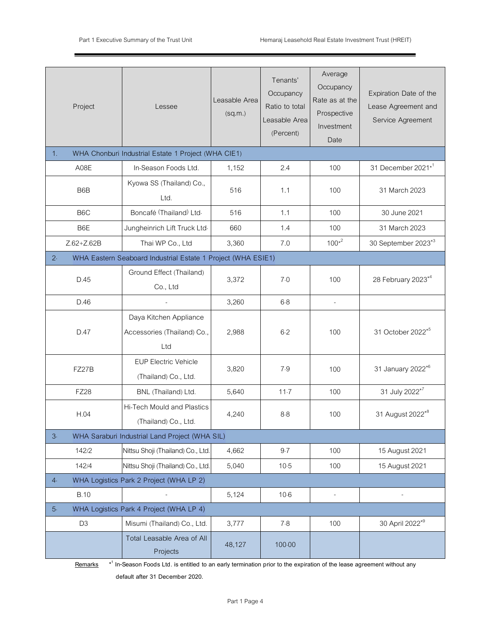| Project          | Lessee                                                       | Leasable Area<br>(sq.m.) | Tenants'<br>Occupancy<br>Ratio to total<br>Leasable Area<br>(Percent) | Average<br>Occupancy<br>Rate as at the<br>Prospective<br>Investment<br>Date | Expiration Date of the<br>Lease Agreement and<br>Service Agreement |  |  |
|------------------|--------------------------------------------------------------|--------------------------|-----------------------------------------------------------------------|-----------------------------------------------------------------------------|--------------------------------------------------------------------|--|--|
| 1.               | WHA Chonburi Industrial Estate 1 Project (WHA CIE1)          |                          |                                                                       |                                                                             |                                                                    |  |  |
| A08E             | In-Season Foods Ltd.                                         | 1,152                    | 2.4                                                                   | 100                                                                         | 31 December 2021 <sup>*1</sup>                                     |  |  |
| B6B              | Kyowa SS (Thailand) Co.,<br>Ltd.                             | 516                      | 1.1                                                                   | 100                                                                         | 31 March 2023                                                      |  |  |
| B <sub>6</sub> C | Boncafé (Thailand) Ltd.                                      | 516                      | 1.1                                                                   | 100                                                                         | 30 June 2021                                                       |  |  |
| B6E              | Jungheinrich Lift Truck Ltd-                                 | 660                      | 1.4                                                                   | 100                                                                         | 31 March 2023                                                      |  |  |
| Z.62+Z.62B       | Thai WP Co., Ltd                                             | 3,360                    | 7.0                                                                   | $100^{*2}$                                                                  | 30 September 2023*3                                                |  |  |
| $2 -$            | WHA Eastern Seaboard Industrial Estate 1 Project (WHA ESIE1) |                          |                                                                       |                                                                             |                                                                    |  |  |
| D.45             | Ground Effect (Thailand)<br>Co., Ltd                         | 3,372                    | 7.0                                                                   | 100                                                                         | 28 February 2023 <sup>*4</sup>                                     |  |  |
| D.46             |                                                              | 3,260                    | 6.8                                                                   | $\overline{\phantom{a}}$                                                    |                                                                    |  |  |
| D.47             | Daya Kitchen Appliance<br>Accessories (Thailand) Co.,<br>Ltd | 2,988                    | $6-2$                                                                 | 100                                                                         | 31 October 2022 <sup>*5</sup>                                      |  |  |
| FZ27B            | <b>EUP Electric Vehicle</b><br>(Thailand) Co., Ltd.          | 3,820                    | 7.9                                                                   | 100                                                                         | 31 January 2022 <sup>*6</sup>                                      |  |  |
| <b>FZ28</b>      | BNL (Thailand) Ltd.                                          | 5,640                    | 11.7                                                                  | 100                                                                         | 31 July 2022*7                                                     |  |  |
| H.04             | Hi-Tech Mould and Plastics<br>(Thailand) Co., Ltd.           | 4,240                    | 8.8                                                                   | 100                                                                         | 31 August 2022 <sup>*8</sup>                                       |  |  |
| 3.               | WHA Saraburi Industrial Land Project (WHA SIL)               |                          |                                                                       |                                                                             |                                                                    |  |  |
| 142/2            | Nittsu Shoji (Thailand) Co., Ltd.                            | 4,662                    | 9.7                                                                   | 100                                                                         | 15 August 2021                                                     |  |  |
| 142/4            | Nittsu Shoji (Thailand) Co., Ltd.                            | 5,040                    | 10.5                                                                  | 100                                                                         | 15 August 2021                                                     |  |  |
| 4.               | WHA Logistics Park 2 Project (WHA LP 2)                      |                          |                                                                       |                                                                             |                                                                    |  |  |
| <b>B.10</b>      |                                                              | 5,124                    | $10-6$                                                                | $\overline{a}$                                                              |                                                                    |  |  |
| 5.               | WHA Logistics Park 4 Project (WHA LP 4)                      |                          |                                                                       |                                                                             |                                                                    |  |  |
| D <sub>3</sub>   | Misumi (Thailand) Co., Ltd.                                  | 3,777                    | 7.8                                                                   | 100                                                                         | 30 April 2022*9                                                    |  |  |
|                  | Total Leasable Area of All<br>Projects                       | 48,127                   | 100.00                                                                |                                                                             |                                                                    |  |  |

**Remarks In-Season Foods Ltd. is entitled to an early termination prior to the expiration of the lease agreement without any** 

**default after 31 December 2020.**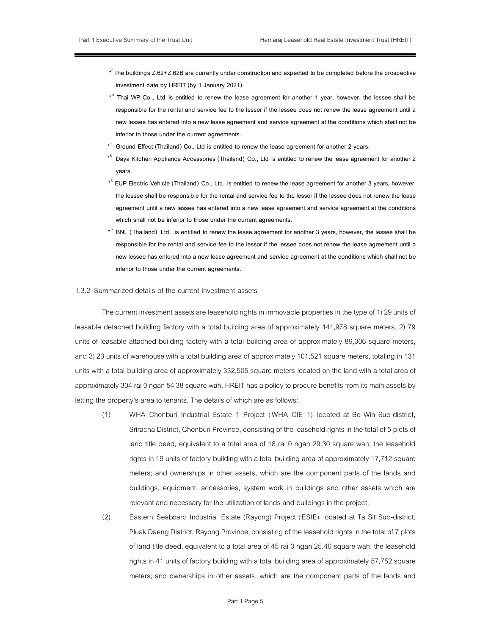- **\* 2 The buildings Z.62+Z.62B are currently under construction and expected to be completed before the prospective investment date by HREIT (by 1 January 2021).**
- **\* 3 Thai WP Co., Ltd is entitled to renew the lease agreement for another 1 year, however, the lessee shall be responsible for the rental and service fee to the lessor if the lessee does not renew the lease agreement until a new lessee has entered into a new lease agreement and service agreement at the conditions which shall not be inferior to those under the current agreements.**
- **\*4 Ground Effect (Thailand) Co., Ltd is entitled to renew the lease agreement for another 2 years.**
- **\*5 Daya Kitchen Appliance Accessories (Thailand) Co., Ltd is entitled to renew the lease agreement for another 2 years.**
- **\*6 EUP Electric Vehicle (Thailand) Co., Ltd. is entitled to renew the lease agreement for another 3 years, however, the lessee shall be responsible for the rental and service fee to the lessor if the lessee does not renew the lease agreement until a new lessee has entered into a new lease agreement and service agreement at the conditions which shall not be inferior to those under the current agreements.**
- **\*7 BNL (Thailand) Ltd. is entitled to renew the lease agreement for another 3 years, however, the lessee shall be responsible for the rental and service fee to the lessor if the lessee does not renew the lease agreement until a new lessee has entered into a new lease agreement and service agreement at the conditions which shall not be inferior to those under the current agreements.**

#### 1.3.2 Summarized details of the current investment assets

The current investment assets are leasehold rights in immovable properties in the type of 1) 29 units of leasable detached building factory with a total building area of approximately 141,978 square meters, 2) 79 units of leasable attached building factory with a total building area of approximately 89,006 square meters, and 3) 23 units of warehouse with a total building area of approximately 101,521 square meters, totaling in 131 units with a total building area of approximately 332,505 square meters located on the land with a total area of approximately 304 rai 0 ngan 54.38 square wah. HREIT has a policy to procure benefits from its main assets by letting the property's area to tenants. The details of which are as follows:

- (1) WHA Chonburi Industrial Estate 1 Project (WHA CIE 1) located at Bo Win Sub-district, Sriracha District, Chonburi Province, consisting of the leasehold rights in the total of 5 plots of land title deed, equivalent to a total area of 18 rai 0 ngan 29.30 square wah; the leasehold rights in 19 units of factory building with a total building area of approximately 17,712 square meters; and ownerships in other assets, which are the component parts of the lands and buildings, equipment, accessories, system work in buildings and other assets which are relevant and necessary for the utilization of lands and buildings in the project;
- (2) Eastern Seaboard Industrial Estate (Rayong) Project (ESIE) located at Ta Sit Sub-district, Pluak Daeng District, Rayong Province, consisting of the leasehold rights in the total of 7 plots of land title deed, equivalent to a total area of 45 rai 0 ngan 25.40 square wah; the leasehold rights in 41 units of factory building with a total building area of approximately 57,752 square meters; and ownerships in other assets, which are the component parts of the lands and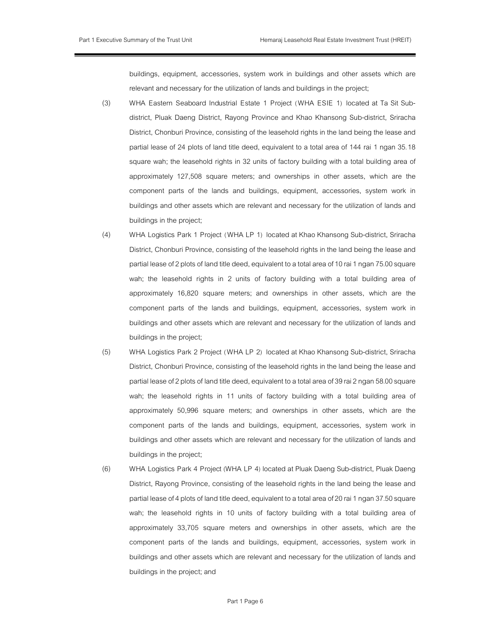buildings, equipment, accessories, system work in buildings and other assets which are relevant and necessary for the utilization of lands and buildings in the project;

- (3) WHA Eastern Seaboard Industrial Estate 1 Project (WHA ESIE 1) located at Ta Sit Subdistrict, Pluak Daeng District, Rayong Province and Khao Khansong Sub-district, Sriracha District, Chonburi Province, consisting of the leasehold rights in the land being the lease and partial lease of 24 plots of land title deed, equivalent to a total area of 144 rai 1 ngan 35.18 square wah; the leasehold rights in 32 units of factory building with a total building area of approximately 127,508 square meters; and ownerships in other assets, which are the component parts of the lands and buildings, equipment, accessories, system work in buildings and other assets which are relevant and necessary for the utilization of lands and buildings in the project;
- (4) WHA Logistics Park 1 Project (WHA LP 1) located at Khao Khansong Sub-district, Sriracha District, Chonburi Province, consisting of the leasehold rights in the land being the lease and partial lease of 2 plots of land title deed, equivalent to a total area of 10 rai 1 ngan 75.00 square wah; the leasehold rights in 2 units of factory building with a total building area of approximately 16,820 square meters; and ownerships in other assets, which are the component parts of the lands and buildings, equipment, accessories, system work in buildings and other assets which are relevant and necessary for the utilization of lands and buildings in the project;
- (5) WHA Logistics Park 2 Project (WHA LP 2) located at Khao Khansong Sub-district, Sriracha District, Chonburi Province, consisting of the leasehold rights in the land being the lease and partial lease of 2 plots of land title deed, equivalent to a total area of 39 rai 2 ngan 58.00 square wah; the leasehold rights in 11 units of factory building with a total building area of approximately 50,996 square meters; and ownerships in other assets, which are the component parts of the lands and buildings, equipment, accessories, system work in buildings and other assets which are relevant and necessary for the utilization of lands and buildings in the project;
- (6) WHA Logistics Park 4 Project (WHA LP 4) located at Pluak Daeng Sub-district, Pluak Daeng District, Rayong Province, consisting of the leasehold rights in the land being the lease and partial lease of 4 plots of land title deed, equivalent to a total area of 20 rai 1 ngan 37.50 square wah; the leasehold rights in 10 units of factory building with a total building area of approximately 33,705 square meters and ownerships in other assets, which are the component parts of the lands and buildings, equipment, accessories, system work in buildings and other assets which are relevant and necessary for the utilization of lands and buildings in the project; and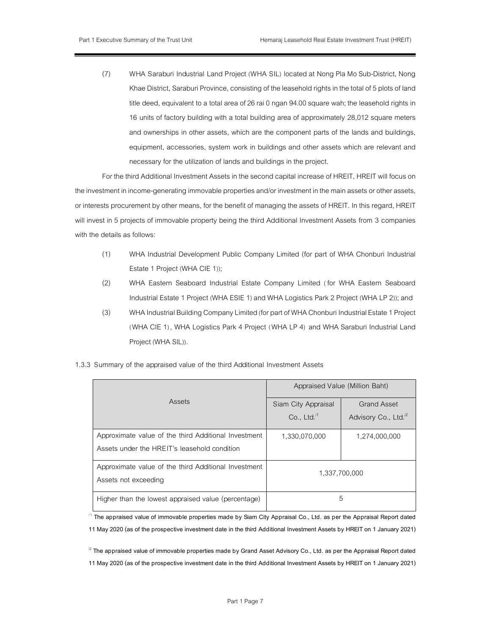(7) WHA Saraburi Industrial Land Project (WHA SIL) located at Nong Pla Mo Sub-District, Nong Khae District, Saraburi Province, consisting of the leasehold rights in the total of 5 plots of land title deed, equivalent to a total area of 26 rai 0 ngan 94.00 square wah; the leasehold rights in 16 units of factory building with a total building area of approximately 28,012 square meters and ownerships in other assets, which are the component parts of the lands and buildings, equipment, accessories, system work in buildings and other assets which are relevant and necessary for the utilization of lands and buildings in the project.

For the third Additional Investment Assets in the second capital increase of HREIT, HREIT will focus on the investment in income-generating immovable properties and/or investment in the main assets or other assets, or interests procurement by other means, for the benefit of managing the assets of HREIT. In this regard, HREIT will invest in 5 projects of immovable property being the third Additional Investment Assets from 3 companies with the details as follows:

- (1) WHA Industrial Development Public Company Limited (for part of WHA Chonburi Industrial Estate 1 Project (WHA CIE 1));
- (2) WHA Eastern Seaboard Industrial Estate Company Limited ( for WHA Eastern Seaboard Industrial Estate 1 Project (WHA ESIE 1) and WHA Logistics Park 2 Project (WHA LP 2)); and
- (3) WHA Industrial Building Company Limited (for part of WHA Chonburi Industrial Estate 1 Project (WHA CIE 1), WHA Logistics Park 4 Project (WHA LP 4) and WHA Saraburi Industrial Land Project (WHA SIL)).

|  |  |  |  |  |  |  |  | 1.3.3 Summary of the appraised value of the third Additional Investment Assets |  |
|--|--|--|--|--|--|--|--|--------------------------------------------------------------------------------|--|
|--|--|--|--|--|--|--|--|--------------------------------------------------------------------------------|--|

|                                                      | Appraised Value (Million Baht) |                                 |  |  |
|------------------------------------------------------|--------------------------------|---------------------------------|--|--|
| Assets                                               | Siam City Appraisal            | <b>Grand Asset</b>              |  |  |
|                                                      | Co., Ltd. $1$                  | Advisory Co., Ltd. <sup>2</sup> |  |  |
| Approximate value of the third Additional Investment | 1.330.070.000                  | 1,274,000,000                   |  |  |
| Assets under the HREIT's leasehold condition         |                                |                                 |  |  |
| Approximate value of the third Additional Investment | 1.337,700,000                  |                                 |  |  |
| Assets not exceeding                                 |                                |                                 |  |  |
| Higher than the lowest appraised value (percentage)  | 5                              |                                 |  |  |

/1 **The appraised value of immovable properties made by Siam City Appraisal Co., Ltd. as per the Appraisal Report dated 11 May 2020 (as of the prospective investment date in the third Additional Investment Assets by HREIT on 1 January 2021)** 

 ${}^{\prime\prime}$  The appraised value of immovable properties made by Grand Asset Advisory Co., Ltd. as per the Appraisal Report dated **11 May 2020 (as of the prospective investment date in the third Additional Investment Assets by HREIT on 1 January 2021)**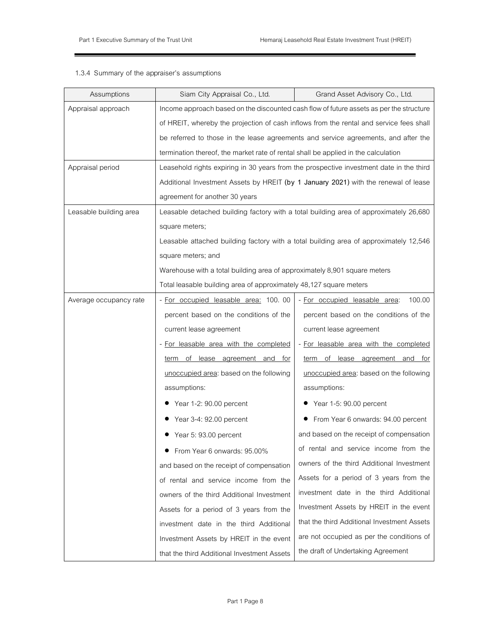# 1.3.4 Summary of the appraiser's assumptions

| Assumptions            | Siam City Appraisal Co., Ltd.                                                           | Grand Asset Advisory Co., Ltd.                                                          |  |  |  |  |
|------------------------|-----------------------------------------------------------------------------------------|-----------------------------------------------------------------------------------------|--|--|--|--|
| Appraisal approach     | Income approach based on the discounted cash flow of future assets as per the structure |                                                                                         |  |  |  |  |
|                        | of HREIT, whereby the projection of cash inflows from the rental and service fees shall |                                                                                         |  |  |  |  |
|                        | be referred to those in the lease agreements and service agreements, and after the      |                                                                                         |  |  |  |  |
|                        | termination thereof, the market rate of rental shall be applied in the calculation      |                                                                                         |  |  |  |  |
| Appraisal period       |                                                                                         | Leasehold rights expiring in 30 years from the prospective investment date in the third |  |  |  |  |
|                        |                                                                                         | Additional Investment Assets by HREIT (by 1 January 2021) with the renewal of lease     |  |  |  |  |
|                        | agreement for another 30 years                                                          |                                                                                         |  |  |  |  |
| Leasable building area |                                                                                         | Leasable detached building factory with a total building area of approximately 26,680   |  |  |  |  |
|                        | square meters;                                                                          |                                                                                         |  |  |  |  |
|                        |                                                                                         | Leasable attached building factory with a total building area of approximately 12,546   |  |  |  |  |
|                        | square meters; and                                                                      |                                                                                         |  |  |  |  |
|                        | Warehouse with a total building area of approximately 8,901 square meters               |                                                                                         |  |  |  |  |
|                        | Total leasable building area of approximately 48,127 square meters                      |                                                                                         |  |  |  |  |
| Average occupancy rate | - For occupied leasable area: 100. 00                                                   | - For occupied leasable area:<br>100.00                                                 |  |  |  |  |
|                        | percent based on the conditions of the                                                  | percent based on the conditions of the                                                  |  |  |  |  |
|                        | current lease agreement                                                                 | current lease agreement                                                                 |  |  |  |  |
|                        | - For leasable area with the completed                                                  | - For leasable area with the completed                                                  |  |  |  |  |
|                        | term of lease agreement and for                                                         | term of lease agreement and for                                                         |  |  |  |  |
|                        | unoccupied area: based on the following                                                 | unoccupied area: based on the following                                                 |  |  |  |  |
|                        | assumptions:                                                                            | assumptions:                                                                            |  |  |  |  |
|                        | ● Year 1-2: 90.00 percent                                                               | $\bullet$ Year 1-5: 90.00 percent                                                       |  |  |  |  |
|                        | Year 3-4: 92.00 percent                                                                 | From Year 6 onwards: 94.00 percent                                                      |  |  |  |  |
|                        | Year 5: 93.00 percent                                                                   | and based on the receipt of compensation                                                |  |  |  |  |
|                        | From Year 6 onwards: 95.00%                                                             | of rental and service income from the                                                   |  |  |  |  |
|                        | and based on the receipt of compensation                                                | owners of the third Additional Investment                                               |  |  |  |  |
|                        | of rental and service income from the                                                   | Assets for a period of 3 years from the                                                 |  |  |  |  |
|                        | owners of the third Additional Investment                                               | investment date in the third Additional                                                 |  |  |  |  |
|                        | Investment Assets by HREIT in the event<br>Assets for a period of 3 years from the      |                                                                                         |  |  |  |  |
|                        | investment date in the third Additional                                                 | that the third Additional Investment Assets                                             |  |  |  |  |
|                        | Investment Assets by HREIT in the event                                                 | are not occupied as per the conditions of                                               |  |  |  |  |
|                        | that the third Additional Investment Assets                                             | the draft of Undertaking Agreement                                                      |  |  |  |  |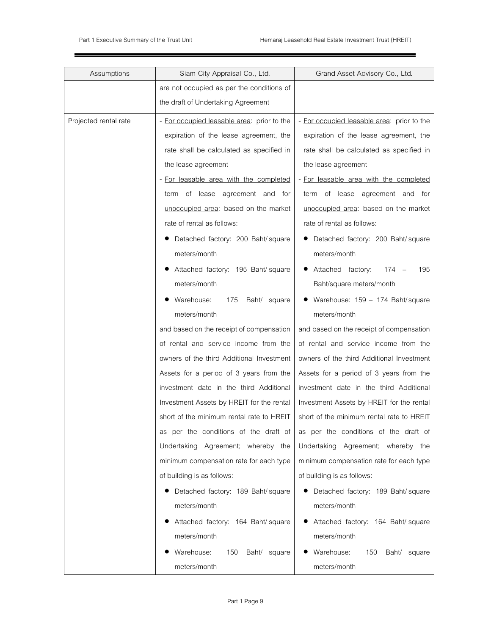| Assumptions           | Siam City Appraisal Co., Ltd.              | Grand Asset Advisory Co., Ltd.             |
|-----------------------|--------------------------------------------|--------------------------------------------|
|                       | are not occupied as per the conditions of  |                                            |
|                       | the draft of Undertaking Agreement         |                                            |
| Projected rental rate | - For occupied leasable area: prior to the | - For occupied leasable area: prior to the |
|                       | expiration of the lease agreement, the     | expiration of the lease agreement, the     |
|                       | rate shall be calculated as specified in   | rate shall be calculated as specified in   |
|                       | the lease agreement                        | the lease agreement                        |
|                       | - For leasable area with the completed     | - For leasable area with the completed     |
|                       | term of lease agreement and for            | term of lease agreement and for            |
|                       | unoccupied area: based on the market       | unoccupied area: based on the market       |
|                       | rate of rental as follows:                 | rate of rental as follows:                 |
|                       | Detached factory: 200 Baht/square          | Detached factory: 200 Baht/square          |
|                       | meters/month                               | meters/month                               |
|                       | Attached factory: 195 Baht/square          | Attached factory:<br>$174 -$<br>195        |
|                       | meters/month                               | Baht/square meters/month                   |
|                       | Warehouse:<br>175<br>Baht/ square          | Warehouse: 159 - 174 Baht/square           |
|                       | meters/month                               | meters/month                               |
|                       | and based on the receipt of compensation   | and based on the receipt of compensation   |
|                       | of rental and service income from the      | of rental and service income from the      |
|                       | owners of the third Additional Investment  | owners of the third Additional Investment  |
|                       | Assets for a period of 3 years from the    | Assets for a period of 3 years from the    |
|                       | investment date in the third Additional    | investment date in the third Additional    |
|                       | Investment Assets by HREIT for the rental  | Investment Assets by HREIT for the rental  |
|                       | short of the minimum rental rate to HREIT  | short of the minimum rental rate to HREIT  |
|                       | as per the conditions of the draft of      | as per the conditions of the draft of      |
|                       | Undertaking Agreement; whereby the         | Undertaking Agreement; whereby the         |
|                       | minimum compensation rate for each type    | minimum compensation rate for each type    |
|                       | of building is as follows:                 | of building is as follows:                 |
|                       | Detached factory: 189 Baht/square          | Detached factory: 189 Baht/square          |
|                       | meters/month                               | meters/month                               |
|                       | Attached factory: 164 Baht/ square         | Attached factory: 164 Baht/ square         |
|                       | meters/month                               | meters/month                               |
|                       | Warehouse:<br>150<br>Baht/ square          | Warehouse:<br>150<br>Baht/ square          |
|                       | meters/month                               | meters/month                               |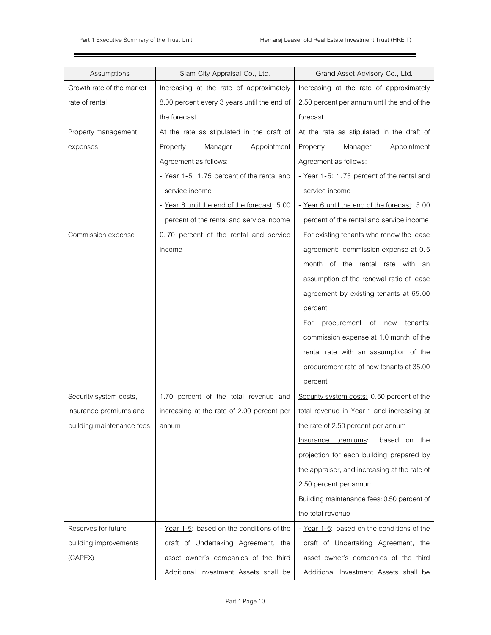| Assumptions               | Siam City Appraisal Co., Ltd.                | Grand Asset Advisory Co., Ltd.               |
|---------------------------|----------------------------------------------|----------------------------------------------|
| Growth rate of the market | Increasing at the rate of approximately      | Increasing at the rate of approximately      |
| rate of rental            | 8.00 percent every 3 years until the end of  | 2.50 percent per annum until the end of the  |
|                           | the forecast                                 | forecast                                     |
| Property management       | At the rate as stipulated in the draft of    | At the rate as stipulated in the draft of    |
| expenses                  | Property<br>Manager<br>Appointment           | Property<br>Manager<br>Appointment           |
|                           | Agreement as follows:                        | Agreement as follows:                        |
|                           | - Year 1-5: 1.75 percent of the rental and   | - Year 1-5: 1.75 percent of the rental and   |
|                           | service income                               | service income                               |
|                           | - Year 6 until the end of the forecast: 5.00 | - Year 6 until the end of the forecast: 5.00 |
|                           | percent of the rental and service income     | percent of the rental and service income     |
| Commission expense        | 0.70 percent of the rental and service       | - For existing tenants who renew the lease   |
|                           | income                                       | agreement: commission expense at 0.5         |
|                           |                                              | month of the rental rate with an             |
|                           |                                              | assumption of the renewal ratio of lease     |
|                           |                                              | agreement by existing tenants at 65.00       |
|                           |                                              | percent                                      |
|                           |                                              | - For procurement of new tenants:            |
|                           |                                              | commission expense at 1.0 month of the       |
|                           |                                              | rental rate with an assumption of the        |
|                           |                                              | procurement rate of new tenants at 35.00     |
|                           |                                              | percent                                      |
| Security system costs,    | 1.70 percent of the total revenue and        | Security system costs: 0.50 percent of the   |
| insurance premiums and    | increasing at the rate of 2.00 percent per   | total revenue in Year 1 and increasing at    |
| building maintenance fees | annum                                        | the rate of 2.50 percent per annum           |
|                           |                                              | Insurance premiums:<br>based on the          |
|                           |                                              | projection for each building prepared by     |
|                           |                                              | the appraiser, and increasing at the rate of |
|                           |                                              | 2.50 percent per annum                       |
|                           |                                              | Building maintenance fees: 0.50 percent of   |
|                           |                                              | the total revenue                            |
| Reserves for future       | - Year 1-5: based on the conditions of the   | - Year 1-5: based on the conditions of the   |
| building improvements     | draft of Undertaking Agreement, the          | draft of Undertaking Agreement, the          |
| (CAPEX)                   | asset owner's companies of the third         | asset owner's companies of the third         |
|                           | Additional Investment Assets shall be        | Additional Investment Assets shall be        |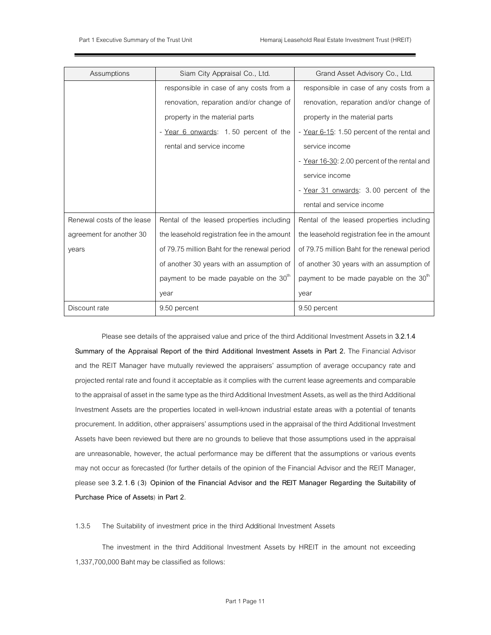| Assumptions                | Siam City Appraisal Co., Ltd.                      | Grand Asset Advisory Co., Ltd.                     |
|----------------------------|----------------------------------------------------|----------------------------------------------------|
|                            | responsible in case of any costs from a            | responsible in case of any costs from a            |
|                            | renovation, reparation and/or change of            | renovation, reparation and/or change of            |
|                            | property in the material parts                     | property in the material parts                     |
|                            | - Year 6 onwards: 1.50 percent of the              | - Year 6-15: 1.50 percent of the rental and        |
|                            | rental and service income                          | service income                                     |
|                            |                                                    | - Year 16-30: 2.00 percent of the rental and       |
|                            |                                                    | service income                                     |
|                            |                                                    | - Year 31 onwards: 3.00 percent of the             |
|                            |                                                    | rental and service income                          |
| Renewal costs of the lease | Rental of the leased properties including          | Rental of the leased properties including          |
| agreement for another 30   | the leasehold registration fee in the amount       | the leasehold registration fee in the amount       |
| years                      | of 79.75 million Baht for the renewal period       | of 79.75 million Baht for the renewal period       |
|                            | of another 30 years with an assumption of          | of another 30 years with an assumption of          |
|                            | payment to be made payable on the 30 <sup>th</sup> | payment to be made payable on the 30 <sup>th</sup> |
|                            | year                                               | year                                               |
| Discount rate              | 9.50 percent                                       | 9.50 percent                                       |

Please see details of the appraised value and price of the third Additional Investment Assetsin **3.2.1.4 Summary of the Appraisal Report of the third Additional Investment Assets in Part 2.** The Financial Advisor and the REIT Manager have mutually reviewed the appraisers' assumption of average occupancy rate and projected rental rate and found it acceptable as it complies with the current lease agreements and comparable to the appraisal of asset in the same type as the third Additional Investment Assets, as well as the third Additional Investment Assets are the properties located in well-known industrial estate areas with a potential of tenants procurement. In addition, other appraisers' assumptions used in the appraisal of the third Additional Investment Assets have been reviewed but there are no grounds to believe that those assumptions used in the appraisal are unreasonable, however, the actual performance may be different that the assumptions or various events may not occur as forecasted (for further details of the opinion of the Financial Advisor and the REIT Manager, please see **3.2.1.6 (3) Opinion of the Financial Advisor and the REIT Manager Regarding the Suitability of Purchase Price of Assets**) **in Part 2**.

1.3.5 The Suitability of investment price in the third Additional Investment Assets

The investment in the third Additional Investment Assets by HREIT in the amount not exceeding 1,337,700,000 Baht may be classified as follows: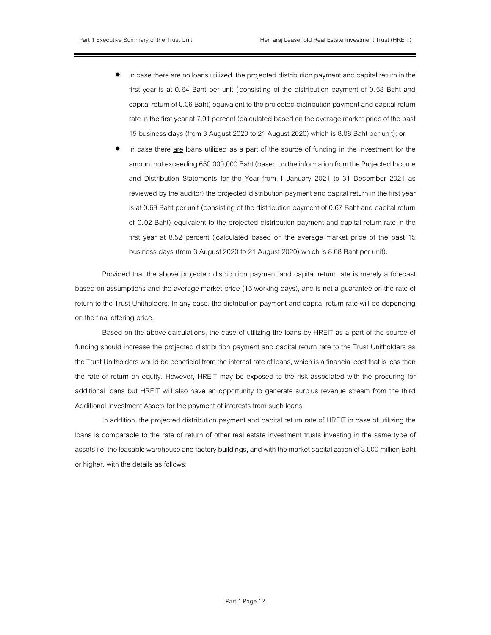- In case there are no loans utilized, the projected distribution payment and capital return in the first year is at 0. 64 Baht per unit ( consisting of the distribution payment of 0.58 Baht and capital return of 0.06 Baht) equivalent to the projected distribution payment and capital return rate in the first year at 7.91 percent (calculated based on the average market price of the past 15 business days (from 3 August 2020 to 21 August 2020) which is 8.08 Baht per unit); or
- In case there are loans utilized as a part of the source of funding in the investment for the amount not exceeding 650,000,000 Baht (based on the information from the Projected Income and Distribution Statements for the Year from 1 January 2021 to 31 December 2021 as reviewed by the auditor) the projected distribution payment and capital return in the first year is at 0.69 Baht per unit (consisting of the distribution payment of 0.67 Baht and capital return of 0. 02 Baht) equivalent to the projected distribution payment and capital return rate in the first year at 8.52 percent ( calculated based on the average market price of the past 15 business days (from 3 August 2020 to 21 August 2020) which is 8.08 Baht per unit).

Provided that the above projected distribution payment and capital return rate is merely a forecast based on assumptions and the average market price (15 working days), and is not a guarantee on the rate of return to the Trust Unitholders. In any case, the distribution payment and capital return rate will be depending on the final offering price.

Based on the above calculations, the case of utilizing the loans by HREIT as a part of the source of funding should increase the projected distribution payment and capital return rate to the Trust Unitholders as the Trust Unitholders would be beneficial from the interest rate of loans, which is a financial cost that is less than the rate of return on equity. However, HREIT may be exposed to the risk associated with the procuring for additional loans but HREIT will also have an opportunity to generate surplus revenue stream from the third Additional Investment Assets for the payment of interests from such loans.

In addition, the projected distribution payment and capital return rate of HREIT in case of utilizing the loans is comparable to the rate of return of other real estate investment trusts investing in the same type of assets i.e. the leasable warehouse and factory buildings, and with the market capitalization of 3,000 million Baht or higher, with the details as follows: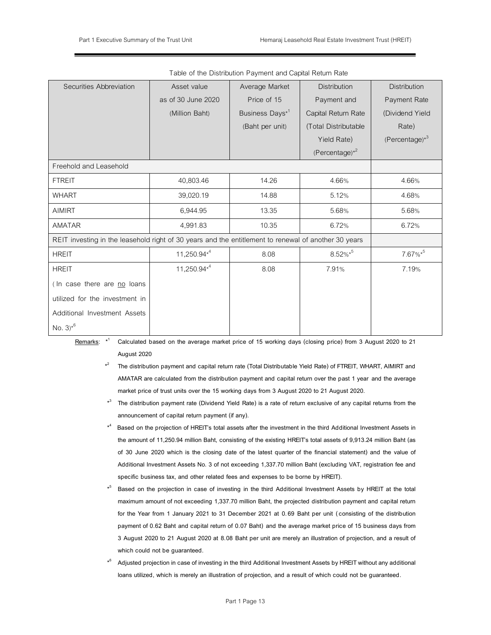| Securities Abbreviation                                                                              | Asset value        | Average Market              | Distribution         | Distribution        |
|------------------------------------------------------------------------------------------------------|--------------------|-----------------------------|----------------------|---------------------|
|                                                                                                      | as of 30 June 2020 | Price of 15                 | Payment and          | Payment Rate        |
|                                                                                                      | (Million Baht)     | Business Days <sup>*1</sup> | Capital Return Rate  | (Dividend Yield     |
|                                                                                                      |                    | (Baht per unit)             | (Total Distributable | Rate)               |
|                                                                                                      |                    |                             | Yield Rate)          | $(Percentage)^{*3}$ |
|                                                                                                      |                    |                             | $(Percentage)^{*2}$  |                     |
| Freehold and Leasehold                                                                               |                    |                             |                      |                     |
| <b>FTREIT</b>                                                                                        | 40,803.46          | 14.26                       | 4.66%                | 4.66%               |
| <b>WHART</b>                                                                                         | 39,020.19          | 14.88                       | 5.12%                | 4.68%               |
| <b>AIMIRT</b>                                                                                        | 6,944.95           | 13.35                       | 5.68%                | 5.68%               |
| <b>AMATAR</b>                                                                                        | 4,991.83           | 10.35                       | 6.72%                | 6.72%               |
| REIT investing in the leasehold right of 30 years and the entitlement to renewal of another 30 years |                    |                             |                      |                     |
| <b>HREIT</b>                                                                                         | $11,250.94*^4$     | 8.08                        | $8.52\%^{*5}$        | $7.67%^{*5}$        |
| <b>HREIT</b>                                                                                         | $11,250.94*^4$     | 8.08                        | 7.91%                | 7.19%               |
| (In case there are no loans                                                                          |                    |                             |                      |                     |
| utilized for the investment in                                                                       |                    |                             |                      |                     |
| Additional Investment Assets                                                                         |                    |                             |                      |                     |
| No. $3^{*6}$                                                                                         |                    |                             |                      |                     |

#### Table of the Distribution Payment and Capital Return Rate

Remarks:  **Calculated based on the average market price of 15 working days (closing price) from 3 August 2020 to 21 August 2020** 

 **\*2 The distribution payment and capital return rate (Total Distributable Yield Rate) of FTREIT, WHART, AIMIRT and AMATAR are calculated from the distribution payment and capital return over the past 1 year and the average market price of trust units over the 15 working days from 3 August 2020 to 21 August 2020.** 

 **\*3 The distribution payment rate (Dividend Yield Rate) is a rate of return exclusive of any capital returns from the announcement of capital return payment (if any).** 

 **\*4 Based on the projection of HREIT's total assets after the investment in the third Additional Investment Assets in the amount of 11,250.94 million Baht, consisting of the existing HREIT's total assets of 9,913.24 million Baht (as of 30 June 2020 which is the closing date of the latest quarter of the financial statement) and the value of Additional Investment Assets No. 3 of not exceeding 1,337.70 million Baht (excluding VAT, registration fee and specific business tax, and other related fees and expenses to be borne by HREIT).** 

- **\*5 Based on the projection in case of investing in the third Additional Investment Assets by HREIT at the total maximum amount of not exceeding 1,337.70 million Baht, the projected distribution payment and capital return for the Year from 1 January 2021 to 31 December 2021 at 0.69 Baht per unit (consisting of the distribution payment of 0.62 Baht and capital return of 0.07 Baht) and the average market price of 15 business days from 3 August 2020 to 21 August 2020 at 8.08 Baht per unit are merely an illustration of projection, and a result of which could not be guaranteed.**
- **\*6 Adjusted projection in case of investing in the third Additional Investment Assets by HREIT without any additional loans utilized, which is merely an illustration of projection, and a result of which could not be guaranteed.**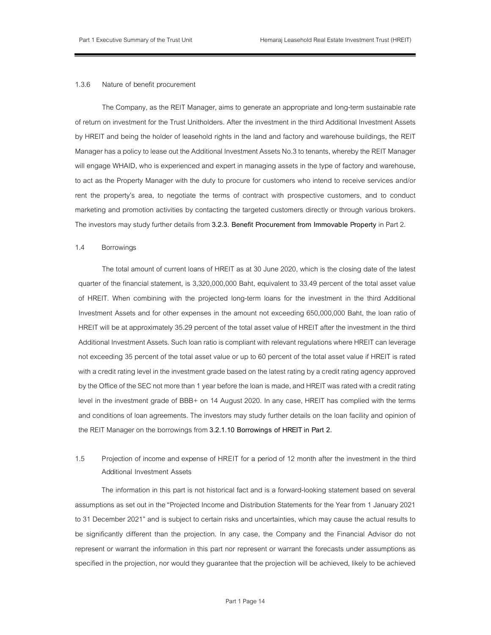#### 1.3.6 Nature of benefit procurement

The Company, as the REIT Manager, aims to generate an appropriate and long-term sustainable rate of return on investment for the Trust Unitholders. After the investment in the third Additional Investment Assets by HREIT and being the holder of leasehold rights in the land and factory and warehouse buildings, the REIT Manager has a policy to lease out the Additional Investment Assets No.3 to tenants, whereby the REIT Manager will engage WHAID, who is experienced and expert in managing assets in the type of factory and warehouse, to act as the Property Manager with the duty to procure for customers who intend to receive services and/or rent the property's area, to negotiate the terms of contract with prospective customers, and to conduct marketing and promotion activities by contacting the targeted customers directly or through various brokers. The investors may study further details from **3.2.3. Benefit Procurement from Immovable Property** in Part 2.

#### 1.4 Borrowings

The total amount of current loans of HREIT as at 30 June 2020, which is the closing date of the latest quarter of the financial statement, is 3,320,000,000 Baht, equivalent to 33.49 percent of the total asset value of HREIT. When combining with the projected long-term loans for the investment in the third Additional Investment Assets and for other expenses in the amount not exceeding 650,000,000 Baht, the loan ratio of HREIT will be at approximately 35.29 percent of the total asset value of HREIT after the investment in the third Additional Investment Assets. Such loan ratio is compliant with relevant regulations where HREIT can leverage not exceeding 35 percent of the total asset value or up to 60 percent of the total asset value if HREIT is rated with a credit rating level in the investment grade based on the latest rating by a credit rating agency approved by the Office of the SEC not more than 1 year before the loan is made, and HREIT was rated with a credit rating level in the investment grade of BBB+ on 14 August 2020. In any case, HREIT has complied with the terms and conditions of loan agreements. The investors may study further details on the loan facility and opinion of the REIT Manager on the borrowings from **3.2.1.10 Borrowings of HREIT in Part 2.**

# 1.5 Projection of income and expense of HREIT for a period of 12 month after the investment in the third Additional Investment Assets

The information in this part is not historical fact and is a forward-looking statement based on several assumptions as set out in the"Projected Income and Distribution Statements for the Year from 1 January 2021 to 31 December 2021" and is subject to certain risks and uncertainties, which may cause the actual results to be significantly different than the projection. In any case, the Company and the Financial Advisor do not represent or warrant the information in this part nor represent or warrant the forecasts under assumptions as specified in the projection, nor would they guarantee that the projection will be achieved, likely to be achieved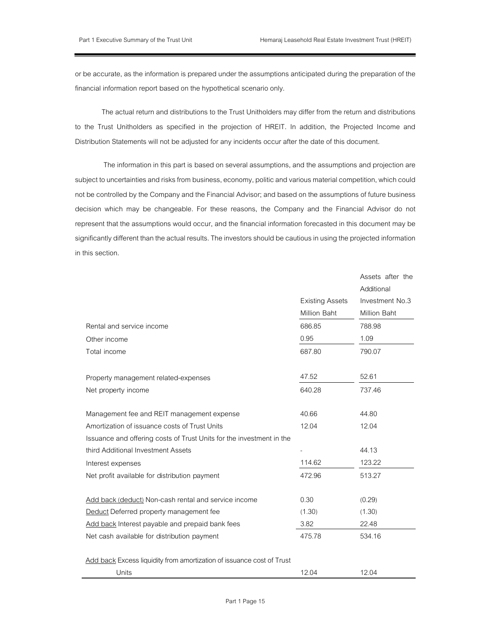or be accurate, as the information is prepared under the assumptions anticipated during the preparation of the financial information report based on the hypothetical scenario only.

The actual return and distributions to the Trust Unitholders may differ from the return and distributions to the Trust Unitholders as specified in the projection of HREIT. In addition, the Projected Income and Distribution Statements will not be adjusted for any incidents occur after the date of this document.

 The information in this part is based on several assumptions, and the assumptions and projection are subject to uncertainties and risks from business, economy, politic and various material competition, which could not be controlled by the Company and the Financial Advisor; and based on the assumptions of future business decision which may be changeable. For these reasons, the Company and the Financial Advisor do not represent that the assumptions would occur, and the financial information forecasted in this document may be significantly different than the actual results. The investors should be cautious in using the projected information in this section.

|                                                                       |                        | Assets after the    |
|-----------------------------------------------------------------------|------------------------|---------------------|
|                                                                       |                        | Additional          |
|                                                                       | <b>Existing Assets</b> | Investment No.3     |
|                                                                       | <b>Million Baht</b>    | <b>Million Baht</b> |
| Rental and service income                                             | 686.85                 | 788.98              |
| Other income                                                          | 0.95                   | 1.09                |
| Total income                                                          | 687.80                 | 790.07              |
| Property management related-expenses                                  | 47.52                  | 52.61               |
| Net property income                                                   | 640.28                 | 737.46              |
| Management fee and REIT management expense                            | 40.66                  | 44.80               |
| Amortization of issuance costs of Trust Units                         | 12.04                  | 12.04               |
| Issuance and offering costs of Trust Units for the investment in the  |                        |                     |
| third Additional Investment Assets                                    |                        | 44.13               |
| Interest expenses                                                     | 114.62                 | 123.22              |
| Net profit available for distribution payment                         | 472.96                 | 513.27              |
| Add back (deduct) Non-cash rental and service income                  | 0.30                   | (0.29)              |
| Deduct Deferred property management fee                               | (1.30)                 | (1.30)              |
| Add back Interest payable and prepaid bank fees                       | 3.82                   | 22.48               |
| Net cash available for distribution payment                           | 475.78                 | 534.16              |
| Add back Excess liquidity from amortization of issuance cost of Trust |                        |                     |
| Units                                                                 | 12.04                  | 12.04               |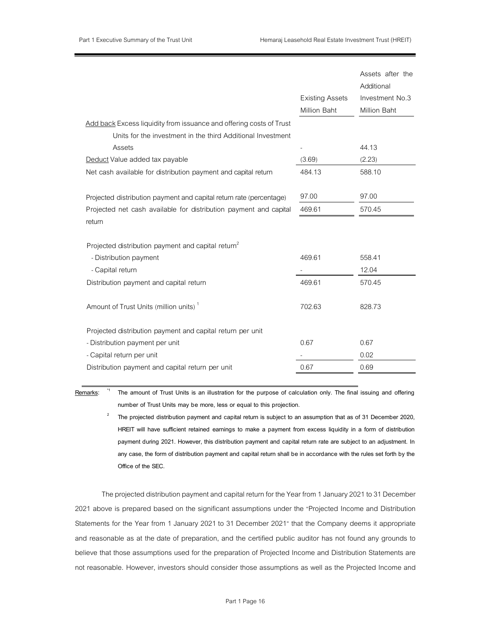|                                                                                          | <b>Existing Assets</b><br>Million Baht | Assets after the<br>Additional<br>Investment No.3<br><b>Million Baht</b> |
|------------------------------------------------------------------------------------------|----------------------------------------|--------------------------------------------------------------------------|
| Add back Excess liquidity from issuance and offering costs of Trust                      |                                        |                                                                          |
| Units for the investment in the third Additional Investment                              |                                        |                                                                          |
| Assets                                                                                   |                                        | 44.13                                                                    |
| Deduct Value added tax payable                                                           | (3.69)                                 | (2.23)                                                                   |
| Net cash available for distribution payment and capital return                           | 484.13                                 | 588.10                                                                   |
|                                                                                          |                                        |                                                                          |
| Projected distribution payment and capital return rate (percentage)                      | 97.00                                  | 97.00                                                                    |
| Projected net cash available for distribution payment and capital                        | 469.61                                 | 570.45                                                                   |
| return                                                                                   |                                        |                                                                          |
| Projected distribution payment and capital return <sup>2</sup><br>- Distribution payment | 469.61                                 | 558.41                                                                   |
| - Capital return                                                                         |                                        | 12.04                                                                    |
| Distribution payment and capital return                                                  | 469.61                                 | 570.45                                                                   |
| Amount of Trust Units (million units) <sup>1</sup>                                       | 702.63                                 | 828.73                                                                   |
| Projected distribution payment and capital return per unit                               |                                        |                                                                          |
| - Distribution payment per unit                                                          | 0.67                                   | 0.67                                                                     |
| - Capital return per unit                                                                |                                        | 0.02                                                                     |
| Distribution payment and capital return per unit                                         | 0.67                                   | 0.69                                                                     |
|                                                                                          |                                        |                                                                          |

**Remarks: \*1 The amount of Trust Units is an illustration for the purpose of calculation only. The final issuing and offering number of Trust Units may be more, less or equal to this projection.**<br><sup>2</sup> The projected distribution payment and capital return is subject to an

 **The projected distribution payment and capital return is subject to an assumption that as of 31 December 2020, HREIT will have sufficient retained earnings to make a payment from excess liquidity in a form of distribution**  payment during 2021. However, this distribution payment and capital return rate are subject to an adjustment. In **any case, the form of distribution payment and capital return shall be in accordance with the rules set forth by the Office of the SEC.** 

The projected distribution payment and capital return for the Year from 1 January 2021 to 31 December 2021 above is prepared based on the significant assumptions under the "Projected Income and Distribution Statements for the Year from 1 January 2021 to 31 December 2021" that the Company deems it appropriate and reasonable as at the date of preparation, and the certified public auditor has not found any grounds to believe that those assumptions used for the preparation of Projected Income and Distribution Statements are not reasonable. However, investors should consider those assumptions as well as the Projected Income and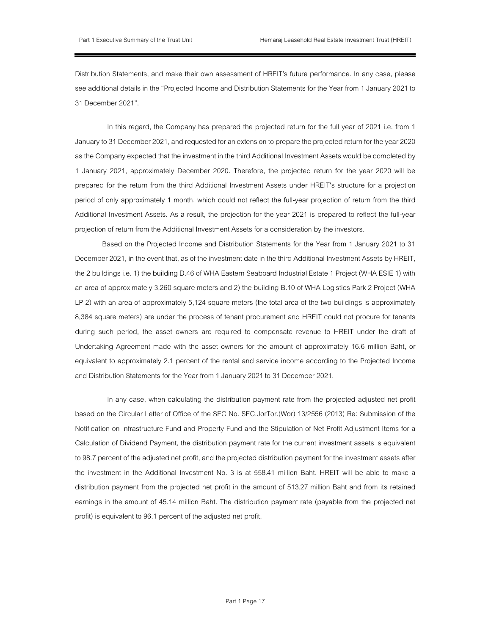Distribution Statements, and make their own assessment of HREIT's future performance. In any case, please see additional details in the "Projected Income and Distribution Statements for the Year from 1 January 2021 to 31 December 2021".

In this regard, the Company has prepared the projected return for the full year of 2021 i.e. from 1 January to 31 December 2021, and requested for an extension to prepare the projected return for the year 2020 as the Company expected that the investment in the third Additional Investment Assets would be completed by 1 January 2021, approximately December 2020. Therefore, the projected return for the year 2020 will be prepared for the return from the third Additional Investment Assets under HREIT's structure for a projection period of only approximately 1 month, which could not reflect the full-year projection of return from the third Additional Investment Assets. As a result, the projection for the year 2021 is prepared to reflect the full-year projection of return from the Additional Investment Assets for a consideration by the investors.

Based on the Projected Income and Distribution Statements for the Year from 1 January 2021 to 31 December 2021, in the event that, as of the investment date in the third Additional Investment Assets by HREIT, the 2 buildings i.e. 1) the building D.46 of WHA Eastern Seaboard Industrial Estate 1 Project (WHA ESIE 1) with an area of approximately 3,260 square meters and 2) the building B.10 of WHA Logistics Park 2 Project (WHA LP 2) with an area of approximately 5,124 square meters (the total area of the two buildings is approximately 8,384 square meters) are under the process of tenant procurement and HREIT could not procure for tenants during such period, the asset owners are required to compensate revenue to HREIT under the draft of Undertaking Agreement made with the asset owners for the amount of approximately 16.6 million Baht, or equivalent to approximately 2.1 percent of the rental and service income according to the Projected Income and Distribution Statements for the Year from 1 January 2021 to 31 December 2021.

In any case, when calculating the distribution payment rate from the projected adjusted net profit based on the Circular Letter of Office of the SEC No. SEC.JorTor.(Wor) 13/2556 (2013) Re: Submission of the Notification on Infrastructure Fund and Property Fund and the Stipulation of Net Profit Adjustment Items for a Calculation of Dividend Payment, the distribution payment rate for the current investment assets is equivalent to 98.7 percent of the adjusted net profit, and the projected distribution payment for the investment assets after the investment in the Additional Investment No. 3 is at 558.41 million Baht. HREIT will be able to make a distribution payment from the projected net profit in the amount of 513.27 million Baht and from its retained earnings in the amount of 45.14 million Baht. The distribution payment rate (payable from the projected net profit) is equivalent to 96.1 percent of the adjusted net profit.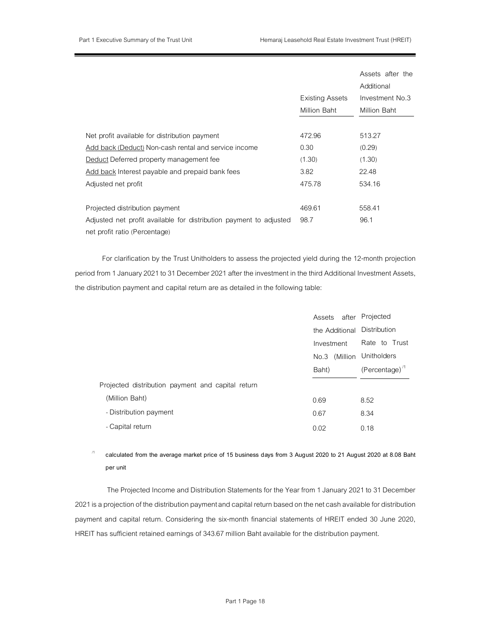|                                                                    | <b>Existing Assets</b><br>Million Baht | Assets after the<br>Additional<br>Investment No.3<br>Million Baht |
|--------------------------------------------------------------------|----------------------------------------|-------------------------------------------------------------------|
| Net profit available for distribution payment                      | 472.96                                 | 513.27                                                            |
| Add back (Deduct) Non-cash rental and service income               | 0.30                                   | (0.29)                                                            |
| Deduct Deferred property management fee                            | (1.30)                                 | (1.30)                                                            |
| Add back Interest payable and prepaid bank fees                    | 3.82                                   | 22.48                                                             |
| Adjusted net profit                                                | 475.78                                 | 534.16                                                            |
|                                                                    |                                        |                                                                   |
| Projected distribution payment                                     | 469.61                                 | 558.41                                                            |
| Adjusted net profit available for distribution payment to adjusted | 98.7                                   | 96.1                                                              |
| net profit ratio (Percentage)                                      |                                        |                                                                   |

For clarification by the Trust Unitholders to assess the projected yield during the 12-month projection period from 1 January 2021 to 31 December 2021 after the investment in the third Additional Investment Assets, the distribution payment and capital return are as detailed in the following table:

|                                                   | Assets after Projected      |                      |
|---------------------------------------------------|-----------------------------|----------------------|
|                                                   | the Additional Distribution |                      |
|                                                   | Investment                  | Rate to Trust        |
|                                                   | No.3                        | (Million Unitholders |
|                                                   | Baht)                       | $(Percentage)^T$     |
| Projected distribution payment and capital return |                             |                      |
| (Million Baht)                                    | 0.69                        | 8.52                 |
| - Distribution payment                            | 0.67                        | 8.34                 |
| - Capital return                                  | 0.02                        | 0.18                 |

/1 **calculated from the average market price of 15 business days from 3 August 2020 to 21 August 2020 at 8.08 Baht per unit** 

The Projected Income and Distribution Statements for the Year from 1 January 2021 to 31 December 2021is a projection of the distribution paymentand capital return based on the net cash available for distribution payment and capital return. Considering the six-month financial statements of HREIT ended 30 June 2020, HREIT has sufficient retained earnings of 343.67 million Bahtavailable for the distribution payment.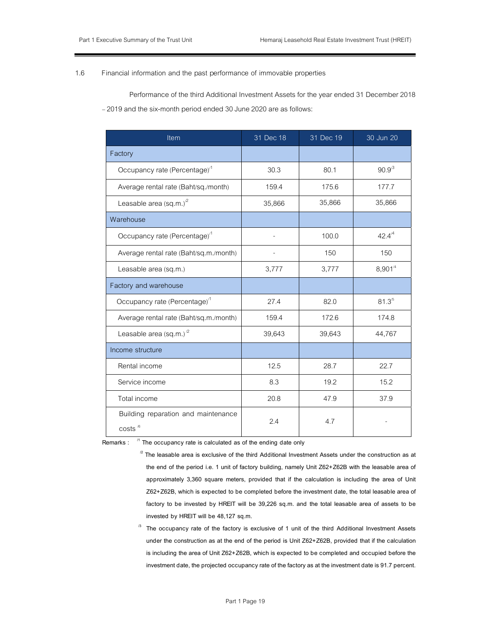#### 1.6 Financial information and the past performance of immovable properties

Performance of the third Additional Investment Assets for the year ended 31 December 2018 – 2019 and the six-month period ended 30 June 2020 are as follows:

| Item                                                       | 31 Dec 18                | 31 Dec 19 | 30 Jun 20  |
|------------------------------------------------------------|--------------------------|-----------|------------|
| Factory                                                    |                          |           |            |
| Occupancy rate (Percentage) <sup>1</sup>                   | 30.3                     | 80.1      | $90.9^{3}$ |
| Average rental rate (Baht/sq./month)                       | 159.4                    | 175.6     | 177.7      |
| Leasable area (sq.m.) <sup>2</sup>                         | 35,866                   | 35,866    | 35,866     |
| Warehouse                                                  |                          |           |            |
| Occupancy rate (Percentage) <sup>1</sup>                   |                          | 100.0     | $42.4^{4}$ |
| Average rental rate (Baht/sq.m./month)                     | $\overline{\phantom{a}}$ | 150       | 150        |
| Leasable area (sq.m.)                                      | 3,777                    | 3,777     | 8,901/4    |
| Factory and warehouse                                      |                          |           |            |
| Occupancy rate (Percentage) <sup>1</sup>                   | 27.4                     | 82.0      | $81.3^{6}$ |
| Average rental rate (Baht/sq.m./month)                     | 159.4                    | 172.6     | 174.8      |
| Leasable area (sq.m.) <sup>2</sup>                         | 39,643                   | 39,643    | 44,767     |
| Income structure                                           |                          |           |            |
| Rental income                                              | 12.5                     | 28.7      | 22.7       |
| Service income                                             | 8.3                      | 19.2      | 15.2       |
| Total income                                               | 20.8                     | 47.9      | 37.9       |
| Building reparation and maintenance<br>costs <sup>/6</sup> | 2.4                      | 4.7       |            |

Remarks : <sup>/1</sup> The occupancy rate is calculated as of the ending date only

- <sup>2</sup> The leasable area is exclusive of the third Additional Investment Assets under the construction as at **the end of the period i.e. 1 unit of factory building, namely Unit Z62+Z62B with the leasable area of approximately 3,360 square meters, provided that if the calculation is including the area of Unit Z62+Z62B, which is expected to be completed before the investment date, the total leasable area of factory to be invested by HREIT will be 39,226 sq.m. and the total leasable area of assets to be**  invested by HREIT will be 48,127 sq.m.<br><sup>/3</sup> The occupancy rate of the factory is exclusive of 1 unit of the third Additional Investment Assets
- **under the construction as at the end of the period is Unit Z62+Z62B, provided that if the calculation is including the area of Unit Z62+Z62B, which is expected to be completed and occupied before the investment date, the projected occupancy rate of the factory as at the investment date is 91.7 percent.**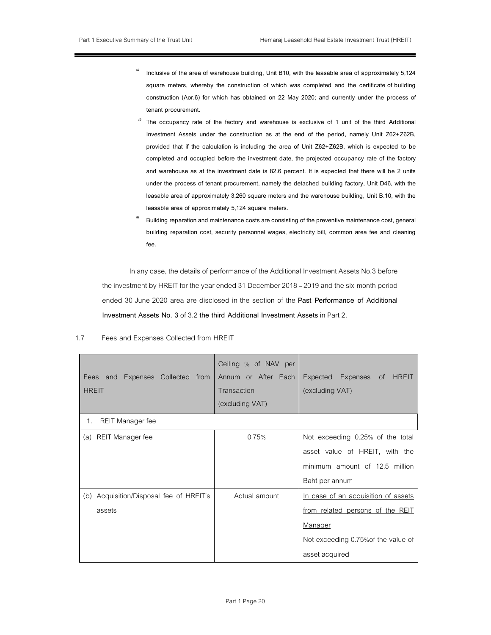- **/4 Inclusive of the area of warehouse building, Unit B10, with the leasable area of approximately 5,124 square meters, whereby the construction of which was completed and the certificate of building construction (Aor.6) for which has obtained on 22 May 2020; and currently under the process of**
- tenant procurement.<br>The occupancy rate of the factory and warehouse is exclusive of 1 unit of the third Additional **Investment Assets under the construction as at the end of the period, namely Unit Z62+Z62B, provided that if the calculation is including the area of Unit Z62+Z62B, which is expected to be completed and occupied before the investment date, the projected occupancy rate of the factory and warehouse as at the investment date is 82.6 percent. It is expected that there will be 2 units under the process of tenant procurement, namely the detached building factory, Unit D46, with the leasable area of approximately 3,260 square meters and the warehouse building, Unit B.10, with the**  leasable area of approximately 5,124 square meters.<br>Building reparation and maintenance costs are consisting of the preventive maintenance cost, general
- **building reparation cost, security personnel wages, electricity bill, common area fee and cleaning fee.**

In any case, the details of performance of the Additional Investment Assets No.3 before the investment by HREIT for the year ended 31 December 2018 – 2019 and the six-month period ended 30 June 2020 area are disclosed in the section of the **Past Performance of Additional Investment Assets No. 3** of 3.2 **the third Additional Investment Assets** in Part 2.

| Fees and Expenses Collected from<br><b>HREIT</b> | Ceiling % of NAV per<br>Annum or After Each<br>Transaction<br>(excluding VAT) | Expected<br>Expenses of HREIT<br>(excluding VAT) |
|--------------------------------------------------|-------------------------------------------------------------------------------|--------------------------------------------------|
| 1.<br>REIT Manager fee                           |                                                                               |                                                  |
| REIT Manager fee<br>(a)                          | 0.75%                                                                         | Not exceeding 0.25% of the total                 |
|                                                  |                                                                               | asset value of HREIT, with the                   |
|                                                  |                                                                               | minimum amount of 12.5 million                   |
|                                                  |                                                                               | Baht per annum                                   |
| (b) Acquisition/Disposal fee of HREIT's          | Actual amount                                                                 | In case of an acquisition of assets              |
| assets                                           |                                                                               | from related persons of the REIT                 |
|                                                  |                                                                               | <b>Manager</b>                                   |
|                                                  |                                                                               | Not exceeding 0.75% of the value of              |
|                                                  |                                                                               | asset acquired                                   |

#### 1.7 Fees and Expenses Collected from HREIT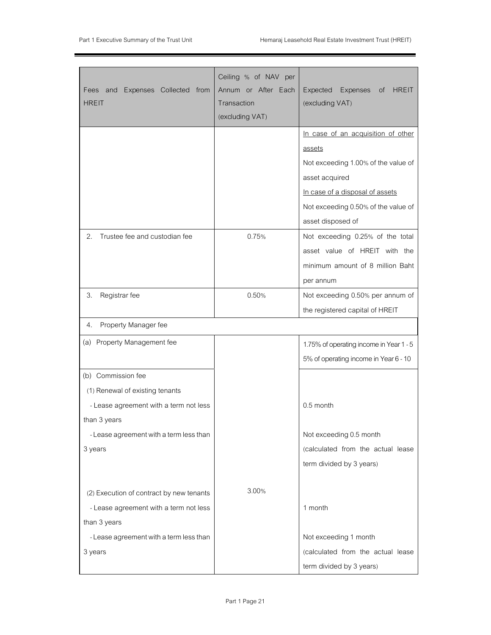| Expenses Collected from<br>Fees<br>and<br><b>HREIT</b>                                                                                                                | Ceiling % of NAV per<br>Annum or After Each<br>Transaction<br>(excluding VAT) | Expected<br>of HREIT<br>Expenses<br>(excluding VAT)                                                                                                                                                                                      |
|-----------------------------------------------------------------------------------------------------------------------------------------------------------------------|-------------------------------------------------------------------------------|------------------------------------------------------------------------------------------------------------------------------------------------------------------------------------------------------------------------------------------|
| Trustee fee and custodian fee<br>2.                                                                                                                                   | 0.75%                                                                         | In case of an acquisition of other<br>assets<br>Not exceeding 1.00% of the value of<br>asset acquired<br>In case of a disposal of assets<br>Not exceeding 0.50% of the value of<br>asset disposed of<br>Not exceeding 0.25% of the total |
|                                                                                                                                                                       |                                                                               | asset value of HREIT with the<br>minimum amount of 8 million Baht<br>per annum                                                                                                                                                           |
| 3.<br>Registrar fee                                                                                                                                                   | 0.50%                                                                         | Not exceeding 0.50% per annum of<br>the registered capital of HREIT                                                                                                                                                                      |
| Property Manager fee<br>4.                                                                                                                                            |                                                                               |                                                                                                                                                                                                                                          |
| (a) Property Management fee                                                                                                                                           |                                                                               | 1.75% of operating income in Year 1 - 5<br>5% of operating income in Year 6 - 10                                                                                                                                                         |
| (b) Commission fee<br>(1) Renewal of existing tenants<br>- Lease agreement with a term not less<br>than 3 years<br>- Lease agreement with a term less than<br>3 years |                                                                               | 0.5 month<br>Not exceeding 0.5 month<br>(calculated from the actual lease<br>term divided by 3 years)                                                                                                                                    |
| (2) Execution of contract by new tenants<br>- Lease agreement with a term not less<br>than 3 years<br>- Lease agreement with a term less than<br>3 years              | 3.00%                                                                         | 1 month<br>Not exceeding 1 month<br>(calculated from the actual lease<br>term divided by 3 years)                                                                                                                                        |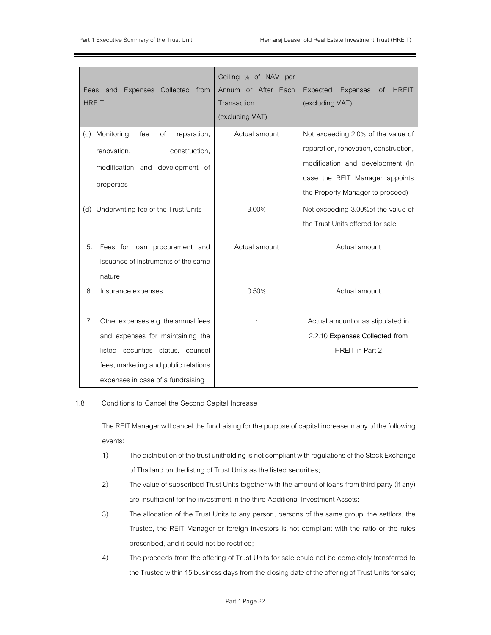|                                               | Ceiling % of NAV per |                                            |
|-----------------------------------------------|----------------------|--------------------------------------------|
| Fees and Expenses Collected<br>from           | Annum or After Each  | Expected<br>Expenses<br><b>HREIT</b><br>of |
| <b>HREIT</b>                                  | Transaction          | (excluding VAT)                            |
|                                               | (excluding VAT)      |                                            |
|                                               |                      |                                            |
| Monitoring<br>of<br>reparation,<br>fee<br>(c) | Actual amount        | Not exceeding 2.0% of the value of         |
| construction,<br>renovation,                  |                      | reparation, renovation, construction,      |
| modification and development of               |                      | modification and development (In           |
| properties                                    |                      | case the REIT Manager appoints             |
|                                               |                      | the Property Manager to proceed)           |
| (d) Underwriting fee of the Trust Units       | 3.00%                | Not exceeding 3.00% of the value of        |
|                                               |                      | the Trust Units offered for sale           |
| 5.<br>Fees for loan procurement and           | Actual amount        | Actual amount                              |
| issuance of instruments of the same           |                      |                                            |
| nature                                        |                      |                                            |
| 6.<br>Insurance expenses                      | 0.50%                | Actual amount                              |
|                                               |                      |                                            |
| 7.<br>Other expenses e.g. the annual fees     |                      | Actual amount or as stipulated in          |
| and expenses for maintaining the              |                      | 2.2.10 Expenses Collected from             |
| listed securities status, counsel             |                      | <b>HREIT</b> in Part 2                     |
| fees, marketing and public relations          |                      |                                            |
| expenses in case of a fundraising             |                      |                                            |

# 1.8 Conditions to Cancel the Second Capital Increase

The REIT Manager will cancel the fundraising for the purpose of capital increase in any of the following events:

- 1) The distribution of the trust unitholding is not compliant with regulations of the Stock Exchange of Thailand on the listing of Trust Units as the listed securities;
- 2) The value of subscribed Trust Units together with the amount of loans from third party (if any) are insufficient for the investment in the third Additional Investment Assets;
- 3) The allocation of the Trust Units to any person, persons of the same group, the settlors, the Trustee, the REIT Manager or foreign investors is not compliant with the ratio or the rules prescribed, and it could not be rectified;
- 4) The proceeds from the offering of Trust Units for sale could not be completely transferred to the Trustee within 15 business days from the closing date of the offering of Trust Units for sale;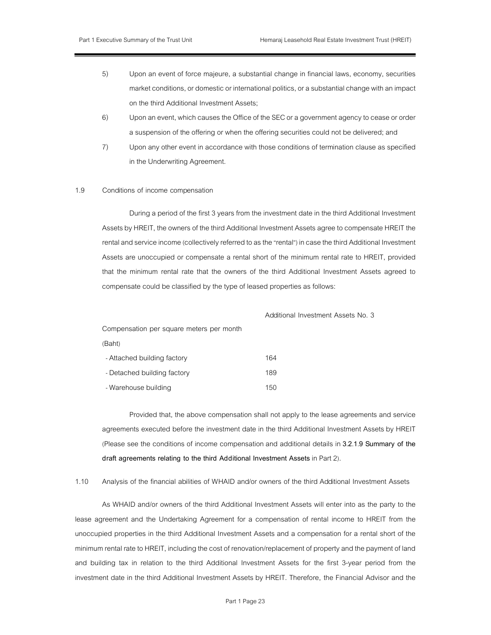- 5) Upon an event of force majeure, a substantial change in financial laws, economy, securities market conditions, or domestic or international politics, or a substantial change with an impact on the third Additional Investment Assets;
- 6) Upon an event, which causes the Office of the SEC or a government agency to cease or order a suspension of the offering or when the offering securities could not be delivered; and
- 7) Upon any other event in accordance with those conditions of termination clause as specified in the Underwriting Agreement.

#### 1.9 Conditions of income compensation

During a period of the first 3 years from the investment date in the third Additional Investment Assets by HREIT, the owners of the third Additional Investment Assets agree to compensate HREIT the rental and service income (collectively referred to as the "rental") in case the third Additional Investment Assets are unoccupied or compensate a rental short of the minimum rental rate to HREIT, provided that the minimum rental rate that the owners of the third Additional Investment Assets agreed to compensate could be classified by the type of leased properties as follows:

Additional Investment Assets No. 3

Compensation per square meters per month

(Baht)

| - Attached building factory | 164 |
|-----------------------------|-----|
| - Detached building factory | 189 |
| - Warehouse building        | 150 |

Provided that, the above compensation shall not apply to the lease agreements and service agreements executed before the investment date in the third Additional Investment Assets by HREIT (Please see the conditions of income compensationand additional details in**3.2.1.9 Summary of the draft agreements relating to the third Additional Investment Assets** in Part 2).

1.10 Analysis of the financial abilities of WHAID and/or owners of the third Additional Investment Assets

As WHAID and/or owners of the third Additional Investment Assets will enter into as the party to the lease agreement and the Undertaking Agreement for a compensation of rental income to HREIT from the unoccupied properties in the third Additional Investment Assets and a compensation for a rental short of the minimum rental rate to HREIT, including the cost of renovation/replacement of property and the payment of land and building tax in relation to the third Additional Investment Assets for the first 3-year period from the investment date in the third Additional Investment Assets by HREIT. Therefore, the Financial Advisor and the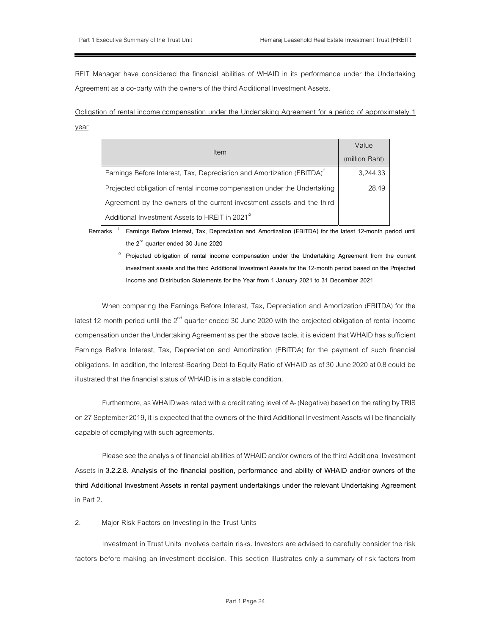REIT Manager have considered the financial abilities of WHAID in its performance under the Undertaking Agreement as a co-party with the owners of the third Additional Investment Assets.

Obligation of rental income compensation under the Undertaking Agreement for a period of approximately 1 year

| <b>Item</b>                                                                        | Value          |
|------------------------------------------------------------------------------------|----------------|
|                                                                                    | (million Baht) |
| Earnings Before Interest, Tax, Depreciation and Amortization (EBITDA) <sup>1</sup> | 3.244.33       |
| Projected obligation of rental income compensation under the Undertaking           | 28.49          |
| Agreement by the owners of the current investment assets and the third             |                |
| Additional Investment Assets to HREIT in 2021 <sup>2</sup>                         |                |

**Remarks /1 Earnings Before Interest, Tax, Depreciation and Amortization (EBITDA) for the latest 12-month period until**  the 2<sup>nd</sup> quarter ended 30 June 2020<br><sup>2</sup> Projected obligation of rental income compensation under the Undertaking Agreement from the current

**investment assets and the third Additional Investment Assets for the 12-month period based on the Projected Income and Distribution Statements for the Year from 1 January 2021 to 31 December 2021** 

When comparing the Earnings Before Interest, Tax, Depreciation and Amortization (EBITDA) for the latest 12-month period until the 2<sup>nd</sup> quarter ended 30 June 2020 with the projected obligation of rental income compensation under the Undertaking Agreementas per the above table, it is evident thatWHAID has sufficient Earnings Before Interest, Tax, Depreciation and Amortization (EBITDA) for the payment of such financial obligations. In addition, the Interest-Bearing Debt-to-Equity Ratio of WHAID as of 30 June 2020 at 0.8 could be illustrated that the financial status of WHAID is in a stable condition.

Furthermore, as WHAID was rated with a credit rating level of A- (Negative) based on the rating byTRIS on27 September2019, it is expected that the owners of the third Additional Investment Assets will be financially capable of complying with such agreements.

Please see the analysis of financial abilities of WHAID and/or owners of the third Additional Investment Assets in **3.2.2.8. Analysis of the financial position, performance and ability of WHAID and/or owners of the third Additional Investment Assets in rental payment undertakings under the relevant Undertaking Agreement** in Part 2.

2. Major Risk Factors on Investing in the Trust Units

Investment in Trust Units involves certain risks. Investors are advised to carefully consider the risk factors before making an investment decision. This section illustrates only a summary of risk factors from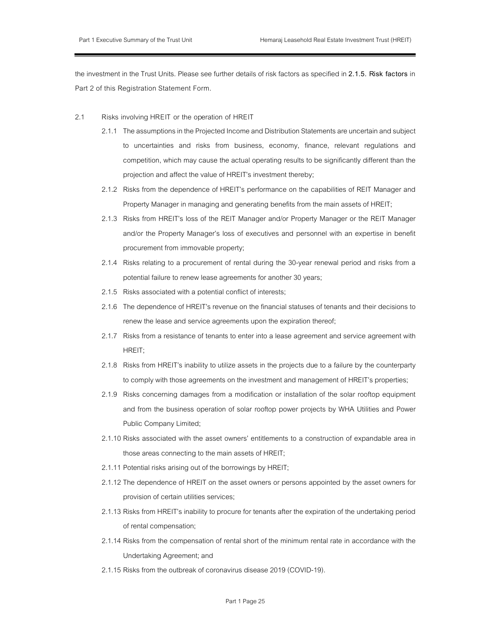the investment in the Trust Units. Please see further details of risk factors as specified in **2.1.5. Risk factors** in Part 2 of this Registration Statement Form.

- 2.1 Risks involving HREIT or the operation of HREIT
	- 2.1.1 The assumptions in the Projected Income and Distribution Statements are uncertain and subject to uncertainties and risks from business, economy, finance, relevant regulations and competition, which may cause the actual operating results to be significantly different than the projection and affect the value of HREIT's investment thereby;
	- 2.1.2 Risks from the dependence of HREIT's performance on the capabilities of REIT Manager and Property Manager in managing and generating benefits from the main assets of HREIT;
	- 2.1.3 Risks from HREIT's loss of the REIT Manager and/or Property Manager or the REIT Manager and/or the Property Manager's loss of executives and personnel with an expertise in benefit procurement from immovable property;
	- 2.1.4 Risks relating to a procurement of rental during the 30-year renewal period and risks from a potential failure to renew lease agreements for another 30 years;
	- 2.1.5 Risks associated with a potential conflict of interests;
	- 2.1.6 The dependence of HREIT's revenue on the financial statuses of tenants and their decisions to renew the lease and service agreements upon the expiration thereof;
	- 2.1.7 Risks from a resistance of tenants to enter into a lease agreement and service agreement with HREIT;
	- 2.1.8 Risks from HREIT's inability to utilize assets in the projects due to a failure by the counterparty to comply with those agreements on the investment and management of HREIT's properties;
	- 2.1.9 Risks concerning damages from a modification or installation of the solar rooftop equipment and from the business operation of solar rooftop power projects by WHA Utilities and Power Public Company Limited;
	- 2.1.10 Risks associated with the asset owners' entitlements to a construction of expandable area in those areas connecting to the main assets of HREIT;
	- 2.1.11 Potential risks arising out of the borrowings by HREIT;
	- 2.1.12 The dependence of HREIT on the asset owners or persons appointed by the asset owners for provision of certain utilities services;
	- 2.1.13 Risks from HREIT's inability to procure for tenants after the expiration of the undertaking period of rental compensation;
	- 2.1.14 Risks from the compensation of rental short of the minimum rental rate in accordance with the Undertaking Agreement; and
	- 2.1.15 Risks from the outbreak of coronavirus disease 2019 (COVID-19).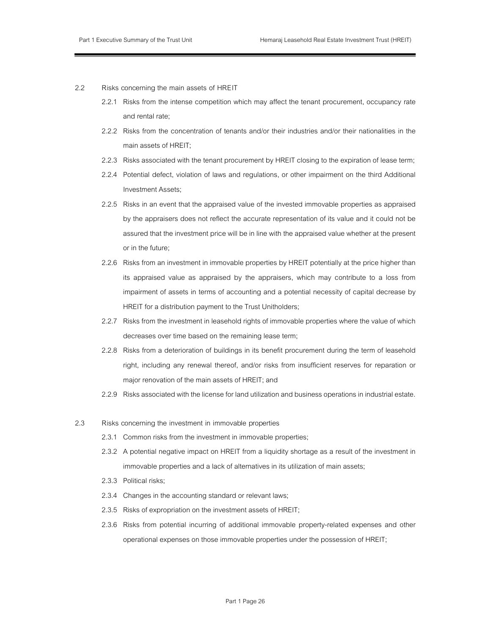2.2 Risks concerning the main assets of HREIT

- 2.2.1 Risks from the intense competition which may affect the tenant procurement, occupancy rate and rental rate;
- 2.2.2 Risks from the concentration of tenants and/or their industries and/or their nationalities in the main assets of HREIT;
- 2.2.3 Risks associated with the tenant procurement by HREIT closing to the expiration of lease term;
- 2.2.4 Potential defect, violation of laws and regulations, or other impairment on the third Additional Investment Assets;
- 2.2.5 Risks in an event that the appraised value of the invested immovable properties as appraised by the appraisers does not reflect the accurate representation of its value and it could not be assured that the investment price will be in line with the appraised value whether at the present or in the future;
- 2.2.6 Risks from an investment in immovable properties by HREIT potentially at the price higher than its appraised value as appraised by the appraisers, which may contribute to a loss from impairment of assets in terms of accounting and a potential necessity of capital decrease by HREIT for a distribution payment to the Trust Unitholders;
- 2.2.7 Risks from the investment in leasehold rights of immovable properties where the value of which decreases over time based on the remaining lease term;
- 2.2.8 Risks from a deterioration of buildings in its benefit procurement during the term of leasehold right, including any renewal thereof, and/or risks from insufficient reserves for reparation or major renovation of the main assets of HREIT; and
- 2.2.9 Risks associated with the license for land utilization and business operations in industrial estate.
- 2.3 Risks concerning the investment in immovable properties
	- 2.3.1 Common risks from the investment in immovable properties;
	- 2.3.2 A potential negative impact on HREIT from a liquidity shortage as a result of the investment in immovable properties and a lack of alternatives in its utilization of main assets;
	- 2.3.3 Political risks;
	- 2.3.4 Changes in the accounting standard or relevant laws;
	- 2.3.5 Risks of expropriation on the investment assets of HREIT;
	- 2.3.6 Risks from potential incurring of additional immovable property-related expenses and other operational expenses on those immovable properties under the possession of HREIT;